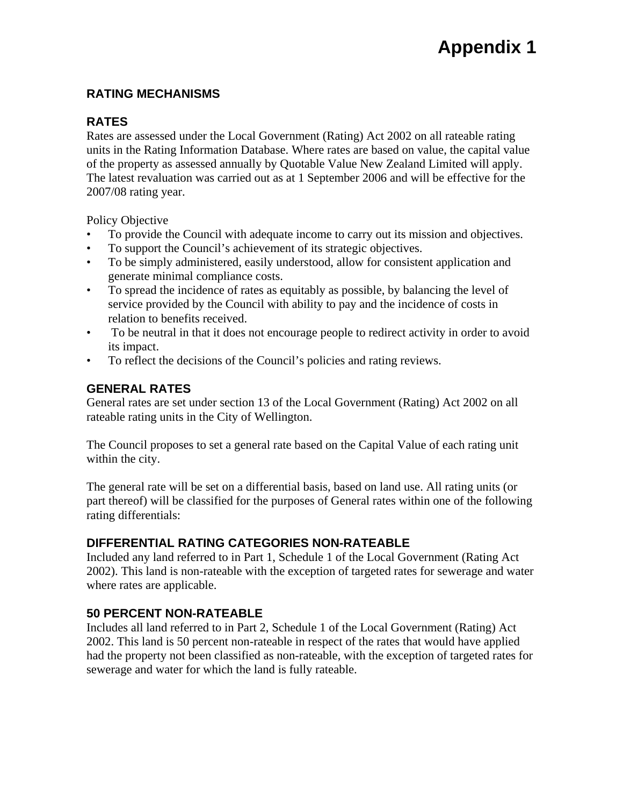### **RATING MECHANISMS**

### **RATES**

Rates are assessed under the Local Government (Rating) Act 2002 on all rateable rating units in the Rating Information Database. Where rates are based on value, the capital value of the property as assessed annually by Quotable Value New Zealand Limited will apply. The latest revaluation was carried out as at 1 September 2006 and will be effective for the 2007/08 rating year.

Policy Objective

- To provide the Council with adequate income to carry out its mission and objectives.
- To support the Council's achievement of its strategic objectives.
- To be simply administered, easily understood, allow for consistent application and generate minimal compliance costs.
- To spread the incidence of rates as equitably as possible, by balancing the level of service provided by the Council with ability to pay and the incidence of costs in relation to benefits received.
- To be neutral in that it does not encourage people to redirect activity in order to avoid its impact.
- To reflect the decisions of the Council's policies and rating reviews.

### **GENERAL RATES**

General rates are set under section 13 of the Local Government (Rating) Act 2002 on all rateable rating units in the City of Wellington.

The Council proposes to set a general rate based on the Capital Value of each rating unit within the city.

The general rate will be set on a differential basis, based on land use. All rating units (or part thereof) will be classified for the purposes of General rates within one of the following rating differentials:

# **DIFFERENTIAL RATING CATEGORIES NON-RATEABLE**

Included any land referred to in Part 1, Schedule 1 of the Local Government (Rating Act 2002). This land is non-rateable with the exception of targeted rates for sewerage and water where rates are applicable.

# **50 PERCENT NON-RATEABLE**

Includes all land referred to in Part 2, Schedule 1 of the Local Government (Rating) Act 2002. This land is 50 percent non-rateable in respect of the rates that would have applied had the property not been classified as non-rateable, with the exception of targeted rates for sewerage and water for which the land is fully rateable.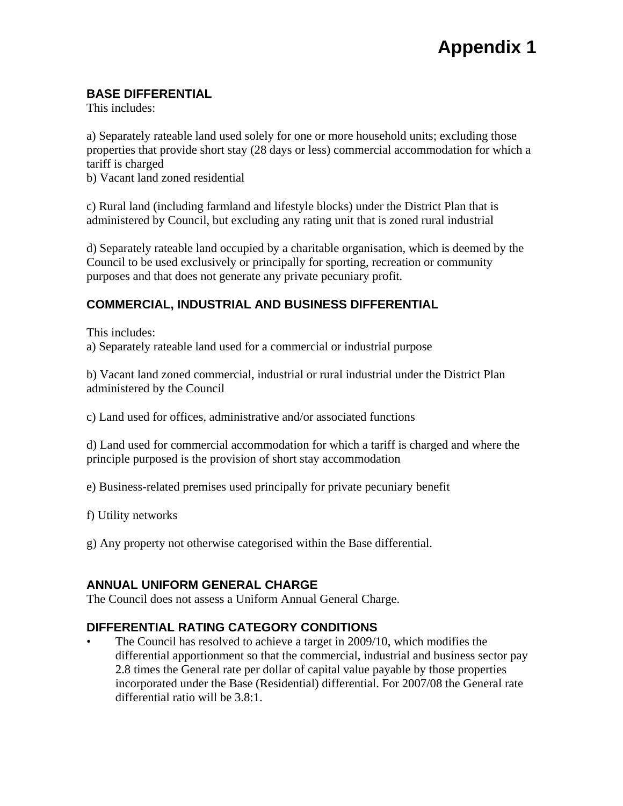# **BASE DIFFERENTIAL**

This includes:

a) Separately rateable land used solely for one or more household units; excluding those properties that provide short stay (28 days or less) commercial accommodation for which a tariff is charged

b) Vacant land zoned residential

c) Rural land (including farmland and lifestyle blocks) under the District Plan that is administered by Council, but excluding any rating unit that is zoned rural industrial

d) Separately rateable land occupied by a charitable organisation, which is deemed by the Council to be used exclusively or principally for sporting, recreation or community purposes and that does not generate any private pecuniary profit.

# **COMMERCIAL, INDUSTRIAL AND BUSINESS DIFFERENTIAL**

This includes:

a) Separately rateable land used for a commercial or industrial purpose

b) Vacant land zoned commercial, industrial or rural industrial under the District Plan administered by the Council

c) Land used for offices, administrative and/or associated functions

d) Land used for commercial accommodation for which a tariff is charged and where the principle purposed is the provision of short stay accommodation

e) Business-related premises used principally for private pecuniary benefit

f) Utility networks

g) Any property not otherwise categorised within the Base differential.

### **ANNUAL UNIFORM GENERAL CHARGE**

The Council does not assess a Uniform Annual General Charge.

# **DIFFERENTIAL RATING CATEGORY CONDITIONS**

The Council has resolved to achieve a target in 2009/10, which modifies the differential apportionment so that the commercial, industrial and business sector pay 2.8 times the General rate per dollar of capital value payable by those properties incorporated under the Base (Residential) differential. For 2007/08 the General rate differential ratio will be 3.8:1.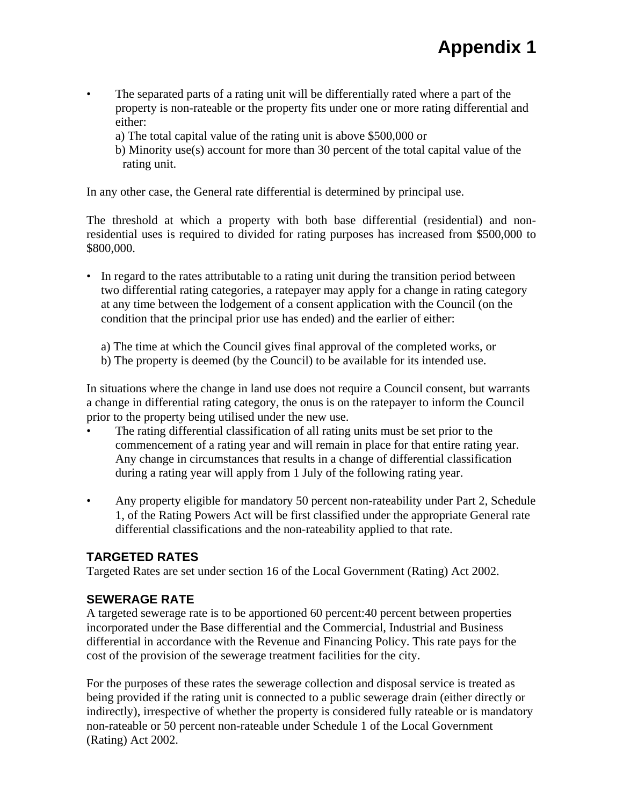- The separated parts of a rating unit will be differentially rated where a part of the property is non-rateable or the property fits under one or more rating differential and either:
	- a) The total capital value of the rating unit is above \$500,000 or
	- b) Minority use(s) account for more than 30 percent of the total capital value of the rating unit.

In any other case, the General rate differential is determined by principal use.

The threshold at which a property with both base differential (residential) and nonresidential uses is required to divided for rating purposes has increased from \$500,000 to \$800,000.

- In regard to the rates attributable to a rating unit during the transition period between two differential rating categories, a ratepayer may apply for a change in rating category at any time between the lodgement of a consent application with the Council (on the condition that the principal prior use has ended) and the earlier of either:
	- a) The time at which the Council gives final approval of the completed works, or
	- b) The property is deemed (by the Council) to be available for its intended use.

In situations where the change in land use does not require a Council consent, but warrants a change in differential rating category, the onus is on the ratepayer to inform the Council prior to the property being utilised under the new use.

- The rating differential classification of all rating units must be set prior to the commencement of a rating year and will remain in place for that entire rating year. Any change in circumstances that results in a change of differential classification during a rating year will apply from 1 July of the following rating year.
- Any property eligible for mandatory 50 percent non-rateability under Part 2, Schedule 1, of the Rating Powers Act will be first classified under the appropriate General rate differential classifications and the non-rateability applied to that rate.

# **TARGETED RATES**

Targeted Rates are set under section 16 of the Local Government (Rating) Act 2002.

# **SEWERAGE RATE**

A targeted sewerage rate is to be apportioned 60 percent:40 percent between properties incorporated under the Base differential and the Commercial, Industrial and Business differential in accordance with the Revenue and Financing Policy. This rate pays for the cost of the provision of the sewerage treatment facilities for the city.

For the purposes of these rates the sewerage collection and disposal service is treated as being provided if the rating unit is connected to a public sewerage drain (either directly or indirectly), irrespective of whether the property is considered fully rateable or is mandatory non-rateable or 50 percent non-rateable under Schedule 1 of the Local Government (Rating) Act 2002.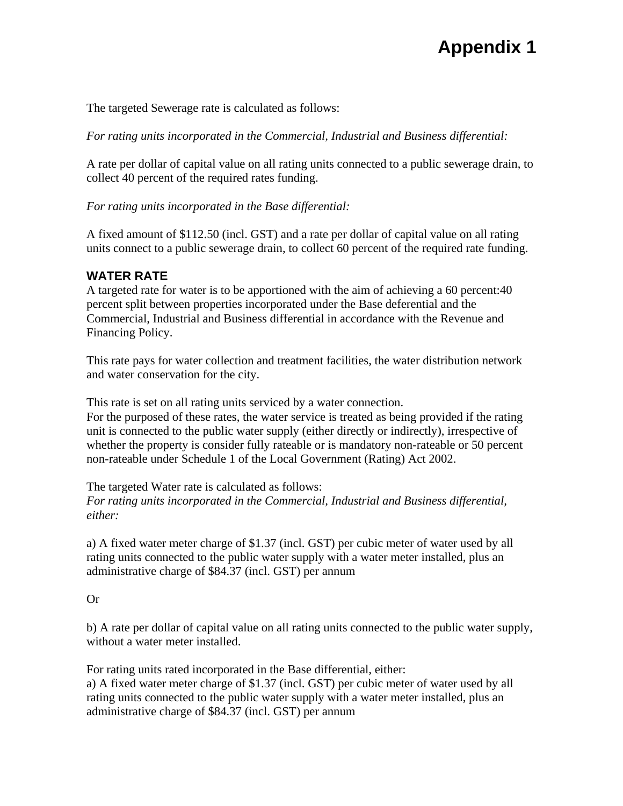# **Appendix 1**

The targeted Sewerage rate is calculated as follows:

*For rating units incorporated in the Commercial, Industrial and Business differential:* 

A rate per dollar of capital value on all rating units connected to a public sewerage drain, to collect 40 percent of the required rates funding.

*For rating units incorporated in the Base differential:* 

A fixed amount of \$112.50 (incl. GST) and a rate per dollar of capital value on all rating units connect to a public sewerage drain, to collect 60 percent of the required rate funding.

# **WATER RATE**

A targeted rate for water is to be apportioned with the aim of achieving a 60 percent:40 percent split between properties incorporated under the Base deferential and the Commercial, Industrial and Business differential in accordance with the Revenue and Financing Policy.

This rate pays for water collection and treatment facilities, the water distribution network and water conservation for the city.

This rate is set on all rating units serviced by a water connection.

For the purposed of these rates, the water service is treated as being provided if the rating unit is connected to the public water supply (either directly or indirectly), irrespective of whether the property is consider fully rateable or is mandatory non-rateable or 50 percent non-rateable under Schedule 1 of the Local Government (Rating) Act 2002.

The targeted Water rate is calculated as follows: *For rating units incorporated in the Commercial, Industrial and Business differential, either:* 

a) A fixed water meter charge of \$1.37 (incl. GST) per cubic meter of water used by all rating units connected to the public water supply with a water meter installed, plus an administrative charge of \$84.37 (incl. GST) per annum

Or

b) A rate per dollar of capital value on all rating units connected to the public water supply, without a water meter installed.

For rating units rated incorporated in the Base differential, either: a) A fixed water meter charge of \$1.37 (incl. GST) per cubic meter of water used by all rating units connected to the public water supply with a water meter installed, plus an administrative charge of \$84.37 (incl. GST) per annum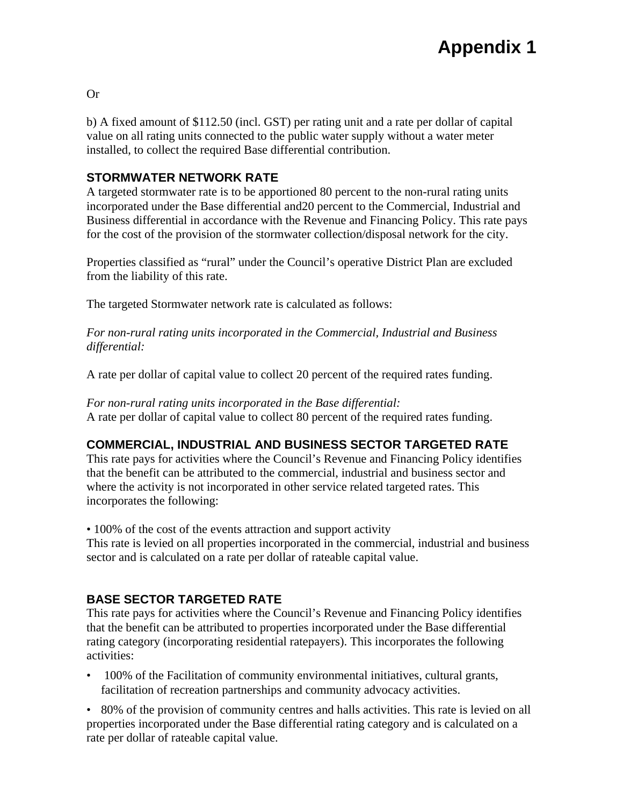b) A fixed amount of \$112.50 (incl. GST) per rating unit and a rate per dollar of capital value on all rating units connected to the public water supply without a water meter installed, to collect the required Base differential contribution.

### **STORMWATER NETWORK RATE**

A targeted stormwater rate is to be apportioned 80 percent to the non-rural rating units incorporated under the Base differential and20 percent to the Commercial, Industrial and Business differential in accordance with the Revenue and Financing Policy. This rate pays for the cost of the provision of the stormwater collection/disposal network for the city.

Properties classified as "rural" under the Council's operative District Plan are excluded from the liability of this rate.

The targeted Stormwater network rate is calculated as follows:

*For non-rural rating units incorporated in the Commercial, Industrial and Business differential:* 

A rate per dollar of capital value to collect 20 percent of the required rates funding.

*For non-rural rating units incorporated in the Base differential:*  A rate per dollar of capital value to collect 80 percent of the required rates funding.

# **COMMERCIAL, INDUSTRIAL AND BUSINESS SECTOR TARGETED RATE**

This rate pays for activities where the Council's Revenue and Financing Policy identifies that the benefit can be attributed to the commercial, industrial and business sector and where the activity is not incorporated in other service related targeted rates. This incorporates the following:

• 100% of the cost of the events attraction and support activity

This rate is levied on all properties incorporated in the commercial, industrial and business sector and is calculated on a rate per dollar of rateable capital value.

# **BASE SECTOR TARGETED RATE**

This rate pays for activities where the Council's Revenue and Financing Policy identifies that the benefit can be attributed to properties incorporated under the Base differential rating category (incorporating residential ratepayers). This incorporates the following activities:

• 100% of the Facilitation of community environmental initiatives, cultural grants, facilitation of recreation partnerships and community advocacy activities.

• 80% of the provision of community centres and halls activities. This rate is levied on all properties incorporated under the Base differential rating category and is calculated on a rate per dollar of rateable capital value.

Or